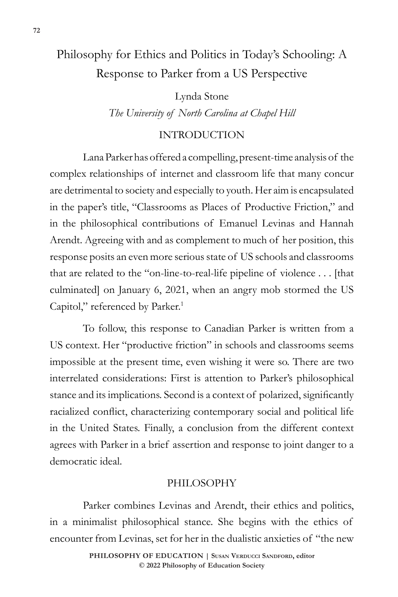# Philosophy for Ethics and Politics in Today's Schooling: A Response to Parker from a US Perspective

Lynda Stone *The University of North Carolina at Chapel Hill*

# INTRODUCTION

Lana Parker has offered a compelling, present-time analysis of the complex relationships of internet and classroom life that many concur are detrimental to society and especially to youth. Her aim is encapsulated in the paper's title, "Classrooms as Places of Productive Friction," and in the philosophical contributions of Emanuel Levinas and Hannah Arendt. Agreeing with and as complement to much of her position, this response posits an even more serious state of US schools and classrooms that are related to the "on-line-to-real-life pipeline of violence . . . [that culminated] on January 6, 2021, when an angry mob stormed the US Capitol," referenced by Parker.<sup>1</sup>

To follow, this response to Canadian Parker is written from a US context. Her "productive friction" in schools and classrooms seems impossible at the present time, even wishing it were so. There are two interrelated considerations: First is attention to Parker's philosophical stance and its implications. Second is a context of polarized, significantly racialized conflict, characterizing contemporary social and political life in the United States. Finally, a conclusion from the different context agrees with Parker in a brief assertion and response to joint danger to a democratic ideal.

#### PHILOSOPHY

Parker combines Levinas and Arendt, their ethics and politics, in a minimalist philosophical stance. She begins with the ethics of encounter from Levinas, set for her in the dualistic anxieties of "the new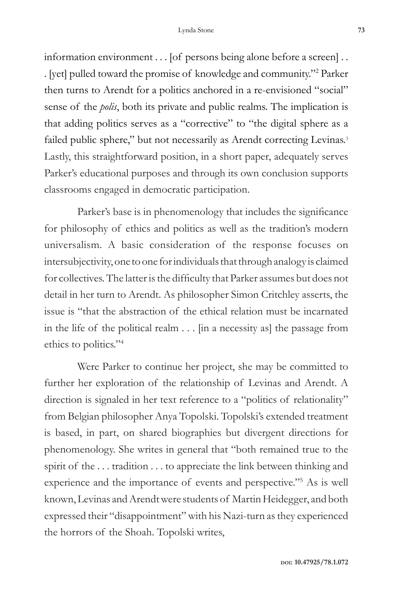information environment . . . [of persons being alone before a screen] . . . [yet] pulled toward the promise of knowledge and community."2 Parker then turns to Arendt for a politics anchored in a re-envisioned "social" sense of the *polis*, both its private and public realms. The implication is that adding politics serves as a "corrective" to "the digital sphere as a failed public sphere," but not necessarily as Arendt correcting Levinas.<sup>3</sup> Lastly, this straightforward position, in a short paper, adequately serves Parker's educational purposes and through its own conclusion supports classrooms engaged in democratic participation.

Parker's base is in phenomenology that includes the significance for philosophy of ethics and politics as well as the tradition's modern universalism. A basic consideration of the response focuses on intersubjectivity, one to one for individuals that through analogy is claimed for collectives. The latter is the difficulty that Parker assumes but does not detail in her turn to Arendt. As philosopher Simon Critchley asserts, the issue is "that the abstraction of the ethical relation must be incarnated in the life of the political realm . . . [in a necessity as] the passage from ethics to politics."4

Were Parker to continue her project, she may be committed to further her exploration of the relationship of Levinas and Arendt. A direction is signaled in her text reference to a "politics of relationality" from Belgian philosopher Anya Topolski. Topolski's extended treatment is based, in part, on shared biographies but divergent directions for phenomenology. She writes in general that "both remained true to the spirit of the ... tradition ... to appreciate the link between thinking and experience and the importance of events and perspective."5 As is well known, Levinas and Arendt were students of Martin Heidegger, and both expressed their "disappointment" with his Nazi-turn as they experienced the horrors of the Shoah. Topolski writes,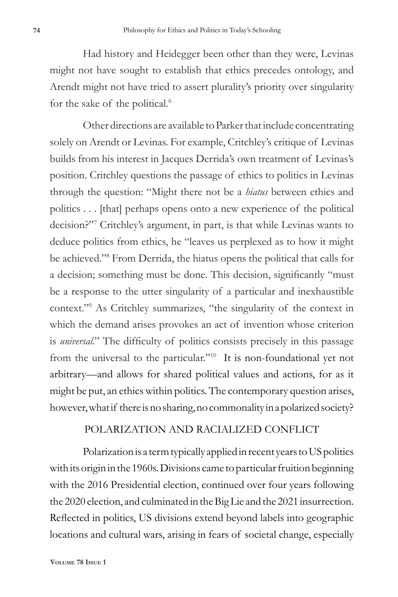Had history and Heidegger been other than they were, Levinas might not have sought to establish that ethics precedes ontology, and Arendt might not have tried to assert plurality's priority over singularity for the sake of the political.<sup>6</sup>

Other directions are available to Parker that include concentrating solely on Arendt or Levinas. For example, Critchley's critique of Levinas builds from his interest in Jacques Derrida's own treatment of Levinas's position. Critchley questions the passage of ethics to politics in Levinas through the question: "Might there not be a *hiatus* between ethics and politics . . . [that] perhaps opens onto a new experience of the political decision?"7 Critchley's argument, in part, is that while Levinas wants to deduce politics from ethics, he "leaves us perplexed as to how it might be achieved."8 From Derrida, the hiatus opens the political that calls for a decision; something must be done. This decision, significantly "must be a response to the utter singularity of a particular and inexhaustible context."9 As Critchley summarizes, "the singularity of the context in which the demand arises provokes an act of invention whose criterion is *universal*." The difficulty of politics consists precisely in this passage from the universal to the particular."10 It is non-foundational yet not arbitrary—and allows for shared political values and actions, for as it might be put, an ethics within politics. The contemporary question arises, however, what if there is no sharing, no commonality in a polarized society?

## POLARIZATION AND RACIALIZED CONFLICT

Polarization is a term typically applied in recent years to US politics with its origin in the 1960s. Divisions came to particular fruition beginning with the 2016 Presidential election, continued over four years following the 2020 election, and culminated in the Big Lie and the 2021 insurrection. Reflected in politics, US divisions extend beyond labels into geographic locations and cultural wars, arising in fears of societal change, especially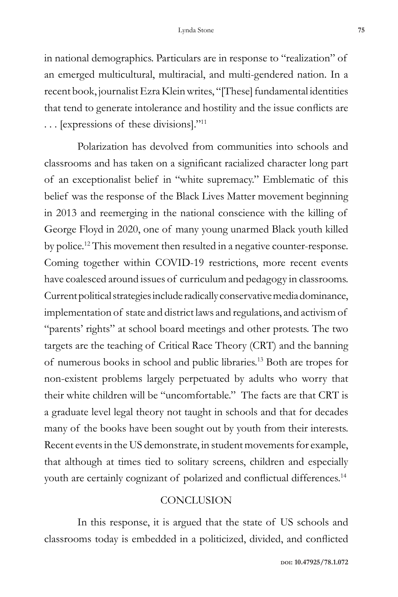in national demographics. Particulars are in response to "realization" of an emerged multicultural, multiracial, and multi-gendered nation. In a recent book, journalist Ezra Klein writes, "[These] fundamental identities that tend to generate intolerance and hostility and the issue conflicts are . . . [expressions of these divisions]."11

Polarization has devolved from communities into schools and classrooms and has taken on a significant racialized character long part of an exceptionalist belief in "white supremacy." Emblematic of this belief was the response of the Black Lives Matter movement beginning in 2013 and reemerging in the national conscience with the killing of George Floyd in 2020, one of many young unarmed Black youth killed by police.12 This movement then resulted in a negative counter-response. Coming together within COVID-19 restrictions, more recent events have coalesced around issues of curriculum and pedagogy in classrooms. Current political strategies include radically conservative media dominance, implementation of state and district laws and regulations, and activism of "parents' rights" at school board meetings and other protests. The two targets are the teaching of Critical Race Theory (CRT) and the banning of numerous books in school and public libraries.13 Both are tropes for non-existent problems largely perpetuated by adults who worry that their white children will be "uncomfortable." The facts are that CRT is a graduate level legal theory not taught in schools and that for decades many of the books have been sought out by youth from their interests. Recent events in the US demonstrate, in student movements for example, that although at times tied to solitary screens, children and especially youth are certainly cognizant of polarized and conflictual differences.<sup>14</sup>

### **CONCLUSION**

In this response, it is argued that the state of US schools and classrooms today is embedded in a politicized, divided, and conflicted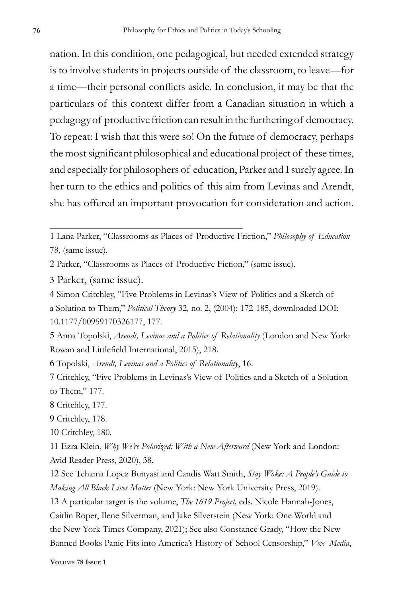nation. In this condition, one pedagogical, but needed extended strategy is to involve students in projects outside of the classroom, to leave—for a time—their personal conflicts aside. In conclusion, it may be that the particulars of this context differ from a Canadian situation in which a pedagogy of productive friction can result in the furthering of democracy. To repeat: I wish that this were so! On the future of democracy, perhaps the most significant philosophical and educational project of these times, and especially for philosophers of education, Parker and I surely agree. In her turn to the ethics and politics of this aim from Levinas and Arendt, she has offered an important provocation for consideration and action.

- 2 Parker, "Classrooms as Places of Productive Fiction," (same issue).
- 3 Parker, (same issue).
- 4 Simon Critchley, "Five Problems in Levinas's View of Politics and a Sketch of
- a Solution to Them," *Political Theory* 32*,* no. 2, (2004): 172-185, downloaded DOI: 10.1177/00959170326177, 177.
- 5 Anna Topolski, *Arendt, Levinas and a Politics of Relationality* (London and New York: Rowan and Littlefield International, 2015), 218.
- 6 Topolski, *Arendt, Levinas and a Politics of Relationality*, 16.

- 8 Critchley, 177.
- 9 Critchley, 178.
- 10 Critchley, 180.

11 Ezra Klein, *Why We're Polarized: With a New Afterward* (New York and London: Avid Reader Press, 2020), 38.

12 See Tehama Lopez Bunyasi and Candis Watt Smith, *Stay Woke: A People's Guide to Making All Black Lives Matter* (New York: New York University Press, 2019).

13 A particular target is the volume, *The 1619 Project,* eds. Nicole Hannah-Jones, Caitlin Roper, Ilene Silverman, and Jake Silverstein (New York: One World and the New York Times Company, 2021); See also Constance Grady, "How the New Banned Books Panic Fits into America's History of School Censorship," *Vox Media*,

<sup>1</sup> Lana Parker, "Classrooms as Places of Productive Friction," *Philosophy of Education* 78, (same issue).

<sup>7</sup> Critchley, "Five Problems in Levinas's View of Politics and a Sketch of a Solution to Them," 177.